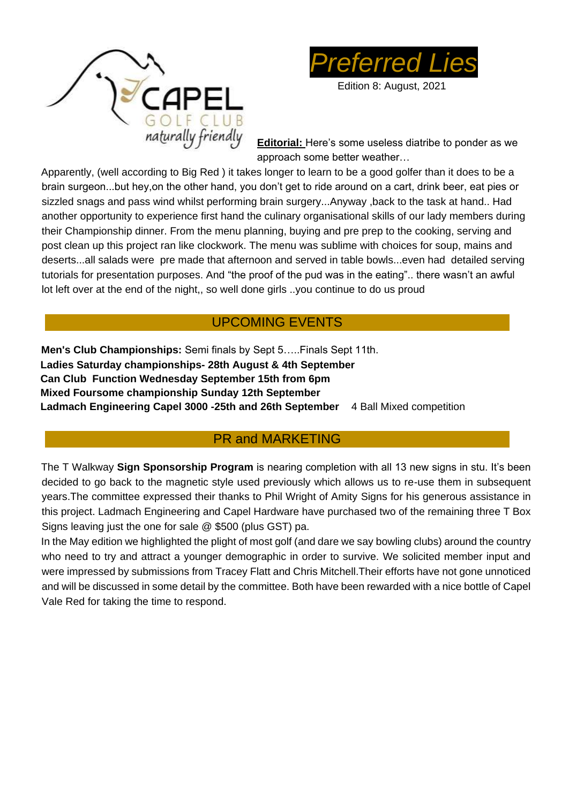



Edition 8: August, 2021

**Editorial:** Here's some useless diatribe to ponder as we approach some better weather…

Apparently, (well according to Big Red ) it takes longer to learn to be a good golfer than it does to be a brain surgeon...but hey,on the other hand, you don't get to ride around on a cart, drink beer, eat pies or sizzled snags and pass wind whilst performing brain surgery...Anyway ,back to the task at hand.. Had another opportunity to experience first hand the culinary organisational skills of our lady members during their Championship dinner. From the menu planning, buying and pre prep to the cooking, serving and post clean up this project ran like clockwork. The menu was sublime with choices for soup, mains and deserts...all salads were pre made that afternoon and served in table bowls...even had detailed serving tutorials for presentation purposes. And "the proof of the pud was in the eating".. there wasn't an awful lot left over at the end of the night,, so well done girls ..you continue to do us proud

### UPCOMING EVENTS

**Men's Club Championships:** Semi finals by Sept 5…..Finals Sept 11th. **Ladies Saturday championships- 28th August & 4th September Can Club Function Wednesday September 15th from 6pm Mixed Foursome championship Sunday 12th September** Ladmach Engineering Capel 3000 -25th and 26th September 4 Ball Mixed competition

### PR and MARKETING

The T Walkway **Sign Sponsorship Program** is nearing completion with all 13 new signs in stu. It's been decided to go back to the magnetic style used previously which allows us to re-use them in subsequent years.The committee expressed their thanks to Phil Wright of Amity Signs for his generous assistance in this project. Ladmach Engineering and Capel Hardware have purchased two of the remaining three T Box Signs leaving just the one for sale @ \$500 (plus GST) pa.

In the May edition we highlighted the plight of most golf (and dare we say bowling clubs) around the country who need to try and attract a younger demographic in order to survive. We solicited member input and were impressed by submissions from Tracey Flatt and Chris Mitchell.Their efforts have not gone unnoticed and will be discussed in some detail by the committee. Both have been rewarded with a nice bottle of Capel Vale Red for taking the time to respond.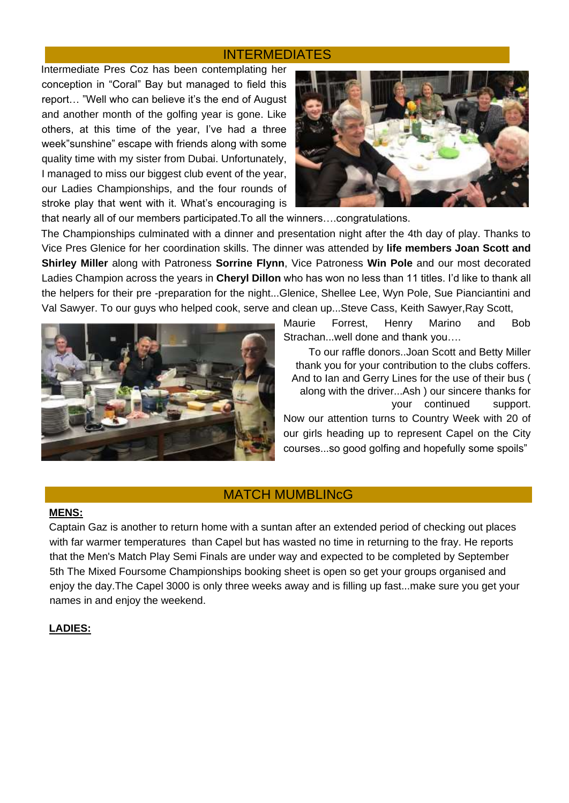#### INTERMEDIATES

Intermediate Pres Coz has been contemplating her conception in "Coral" Bay but managed to field this report… "Well who can believe it's the end of August and another month of the golfing year is gone. Like others, at this time of the year, I've had a three week"sunshine" escape with friends along with some quality time with my sister from Dubai. Unfortunately, I managed to miss our biggest club event of the year, our Ladies Championships, and the four rounds of stroke play that went with it. What's encouraging is



that nearly all of our members participated.To all the winners….congratulations.

The Championships culminated with a dinner and presentation night after the 4th day of play. Thanks to Vice Pres Glenice for her coordination skills. The dinner was attended by **life members Joan Scott and Shirley Miller** along with Patroness **Sorrine Flynn**, Vice Patroness **Win Pole** and our most decorated Ladies Champion across the years in **Cheryl Dillon** who has won no less than 11 titles. I'd like to thank all the helpers for their pre -preparation for the night...Glenice, Shellee Lee, Wyn Pole, Sue Pianciantini and Val Sawyer. To our guys who helped cook, serve and clean up...Steve Cass, Keith Sawyer,Ray Scott,



Maurie Forrest, Henry Marino and Bob Strachan...well done and thank you….

To our raffle donors..Joan Scott and Betty Miller thank you for your contribution to the clubs coffers. And to Ian and Gerry Lines for the use of their bus ( along with the driver...Ash ) our sincere thanks for your continued support.

Now our attention turns to Country Week with 20 of our girls heading up to represent Capel on the City courses...so good golfing and hopefully some spoils"

#### MATCH MUMBLINcG

#### **MENS:**

Captain Gaz is another to return home with a suntan after an extended period of checking out places with far warmer temperatures than Capel but has wasted no time in returning to the fray. He reports that the Men's Match Play Semi Finals are under way and expected to be completed by September 5th The Mixed Foursome Championships booking sheet is open so get your groups organised and enjoy the day.The Capel 3000 is only three weeks away and is filling up fast...make sure you get your names in and enjoy the weekend.

#### **LADIES:**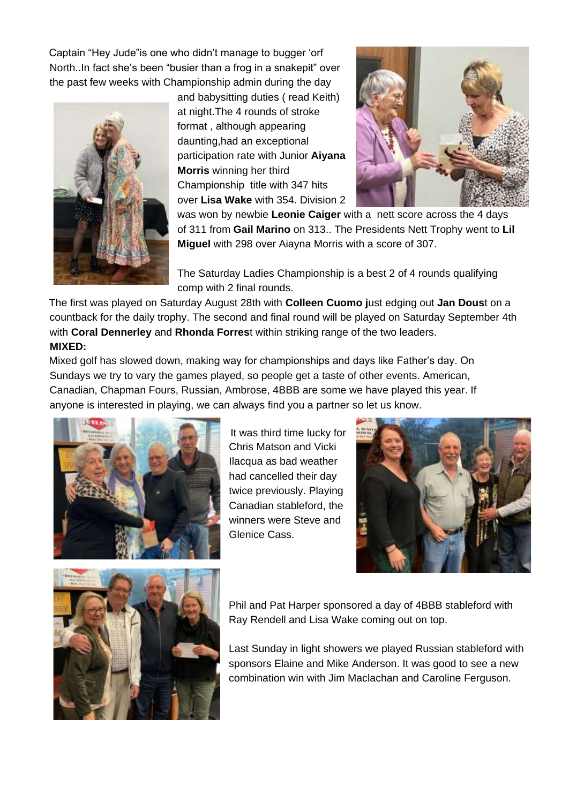Captain "Hey Jude"is one who didn't manage to bugger 'orf North..In fact she's been "busier than a frog in a snakepit" over the past few weeks with Championship admin during the day



and babysitting duties ( read Keith) at night.The 4 rounds of stroke format , although appearing daunting,had an exceptional participation rate with Junior **Aiyana Morris** winning her third Championship title with 347 hits over **Lisa Wake** with 354. Division 2



was won by newbie **Leonie Caiger** with a nett score across the 4 days of 311 from **Gail Marino** on 313.. The Presidents Nett Trophy went to **Lil Miguel** with 298 over Aiayna Morris with a score of 307.

The Saturday Ladies Championship is a best 2 of 4 rounds qualifying comp with 2 final rounds.

The first was played on Saturday August 28th with **Colleen Cuomo j**ust edging out **Jan Dous**t on a countback for the daily trophy. The second and final round will be played on Saturday September 4th with **Coral Dennerley** and **Rhonda Forres**t within striking range of the two leaders. **MIXED:**

Mixed golf has slowed down, making way for championships and days like Father's day. On Sundays we try to vary the games played, so people get a taste of other events. American, Canadian, Chapman Fours, Russian, Ambrose, 4BBB are some we have played this year. If anyone is interested in playing, we can always find you a partner so let us know.



It was third time lucky for Chris Matson and Vicki Ilacqua as bad weather had cancelled their day twice previously. Playing Canadian stableford, the winners were Steve and Glenice Cass.





Phil and Pat Harper sponsored a day of 4BBB stableford with Ray Rendell and Lisa Wake coming out on top.

Last Sunday in light showers we played Russian stableford with sponsors Elaine and Mike Anderson. It was good to see a new combination win with Jim Maclachan and Caroline Ferguson.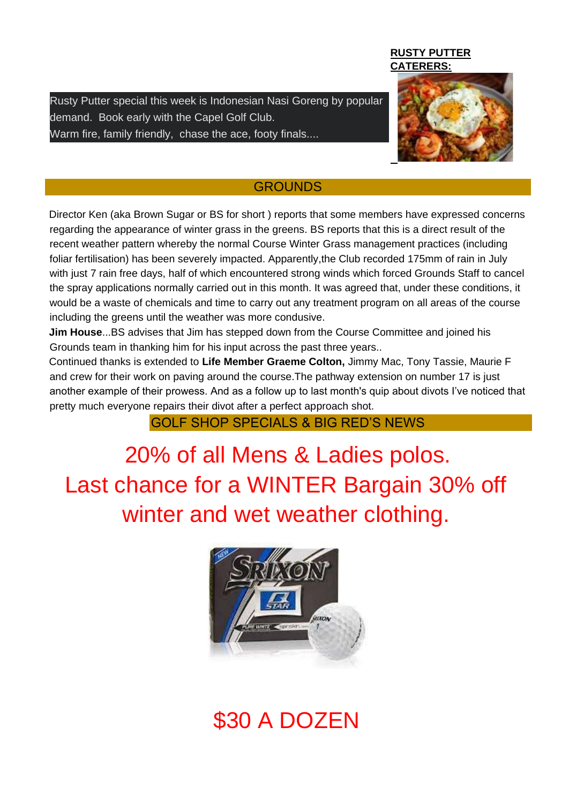Rusty Putter special this week is Indonesian Nasi Goreng by popular demand. Book early with the Capel Golf Club. Warm fire, family friendly, chase the ace, footy finals....

#### **RUSTY PUTTER CATERERS:**



#### **GROUNDS**

Director Ken (aka Brown Sugar or BS for short ) reports that some members have expressed concerns regarding the appearance of winter grass in the greens. BS reports that this is a direct result of the recent weather pattern whereby the normal Course Winter Grass management practices (including foliar fertilisation) has been severely impacted. Apparently,the Club recorded 175mm of rain in July with just 7 rain free days, half of which encountered strong winds which forced Grounds Staff to cancel the spray applications normally carried out in this month. It was agreed that, under these conditions, it would be a waste of chemicals and time to carry out any treatment program on all areas of the course including the greens until the weather was more condusive.

**Jim House**...BS advises that Jim has stepped down from the Course Committee and joined his Grounds team in thanking him for his input across the past three years..

Continued thanks is extended to **Life Member Graeme Colton,** Jimmy Mac, Tony Tassie, Maurie F and crew for their work on paving around the course.The pathway extension on number 17 is just another example of their prowess. And as a follow up to last month's quip about divots I've noticed that pretty much everyone repairs their divot after a perfect approach shot.

### GOLF SHOP SPECIALS & BIG RED'S NEWS

20% of all Mens & Ladies polos. Last chance for a WINTER Bargain 30% off winter and wet weather clothing.



## \$30 A DOZEN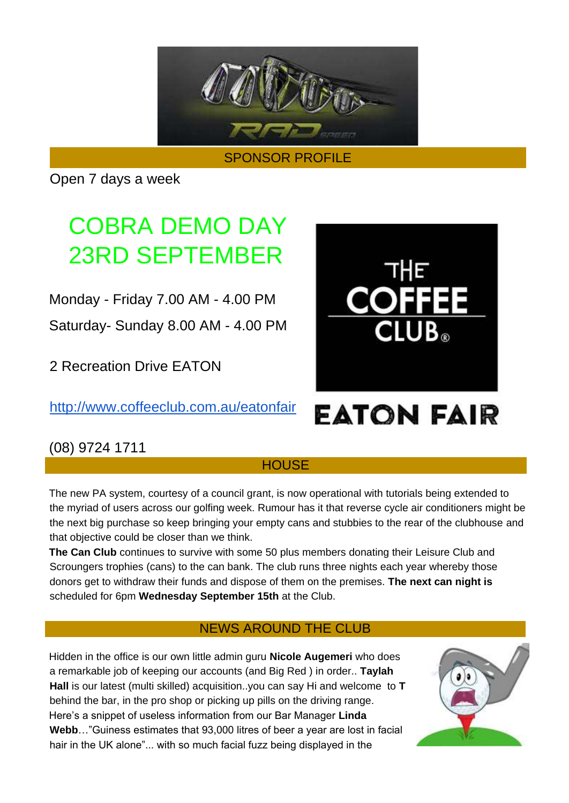

SPONSOR PROFILE

Open 7 days a week

## COBRA DEMO DAY 23RD SEPTEMBER

Monday - Friday 7.00 AM - 4.00 PM

Saturday- Sunday 8.00 AM - 4.00 PM

2 Recreation Drive EATON

<http://www.coffeeclub.com.au/eatonfair>



# **FATON FAIR**

## (08) 9724 1711

### **HOUSE**

The new PA system, courtesy of a council grant, is now operational with tutorials being extended to the myriad of users across our golfing week. Rumour has it that reverse cycle air conditioners might be the next big purchase so keep bringing your empty cans and stubbies to the rear of the clubhouse and that objective could be closer than we think.

**The Can Club** continues to survive with some 50 plus members donating their Leisure Club and Scroungers trophies (cans) to the can bank. The club runs three nights each year whereby those donors get to withdraw their funds and dispose of them on the premises. **The next can night is**  scheduled for 6pm **Wednesday September 15th** at the Club.

## NEWS AROUND THE CLUB

Hidden in the office is our own little admin guru **Nicole Augemeri** who does a remarkable job of keeping our accounts (and Big Red ) in order.. **Taylah Hall** is our latest (multi skilled) acquisition..you can say Hi and welcome to **T**  behind the bar, in the pro shop or picking up pills on the driving range. Here's a snippet of useless information from our Bar Manager **Linda Webb**…"Guiness estimates that 93,000 litres of beer a year are lost in facial hair in the UK alone"... with so much facial fuzz being displayed in the